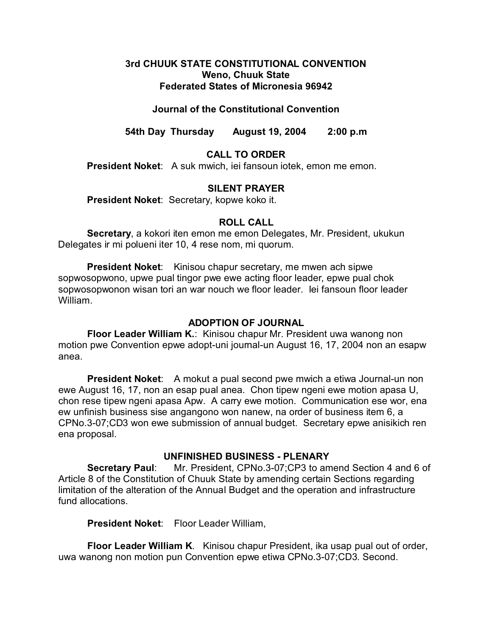## **3rd CHUUK STATE CONSTITUTIONAL CONVENTION Weno, Chuuk State Federated States of Micronesia 96942**

# **Journal of the Constitutional Convention**

**54th Day Thursday August 19, 2004 2:00 p.m**

# **CALL TO ORDER**

**President Noket**: A suk mwich, iei fansoun iotek, emon me emon.

#### **SILENT PRAYER**

**President Noket**: Secretary, kopwe koko it.

#### **ROLL CALL**

**Secretary**, a kokori iten emon me emon Delegates, Mr. President, ukukun Delegates ir mi polueni iter 10, 4 rese nom, mi quorum.

**President Noket:** Kinisou chapur secretary, me mwen ach sipwe sopwosopwono, upwe pual tingor pwe ewe acting floor leader, epwe pual chok sopwosopwonon wisan tori an war nouch we floor leader. Iei fansoun floor leader William.

#### **ADOPTION OF JOURNAL**

**Floor Leader William K.**: Kinisou chapur Mr. President uwa wanong non motion pwe Convention epwe adopt-uni journal-un August 16, 17, 2004 non an esapw anea.

**President Noket**: A mokut a pual second pwe mwich a etiwa Journal-un non ewe August 16, 17, non an esap pual anea. Chon tipew ngeni ewe motion apasa U, chon rese tipew ngeni apasa Apw. A carry ewe motion. Communication ese wor, ena ew unfinish business sise angangono won nanew, na order of business item 6, a CPNo.3-07;CD3 won ewe submission of annual budget. Secretary epwe anisikich ren ena proposal.

#### **UNFINISHED BUSINESS - PLENARY**

**Secretary Paul**: Mr. President, CPNo.3-07;CP3 to amend Section 4 and 6 of Article 8 of the Constitution of Chuuk State by amending certain Sections regarding limitation of the alteration of the Annual Budget and the operation and infrastructure fund allocations.

**President Noket**: Floor Leader William,

**Floor Leader William K**. Kinisou chapur President, ika usap pual out of order, uwa wanong non motion pun Convention epwe etiwa CPNo.3-07;CD3. Second.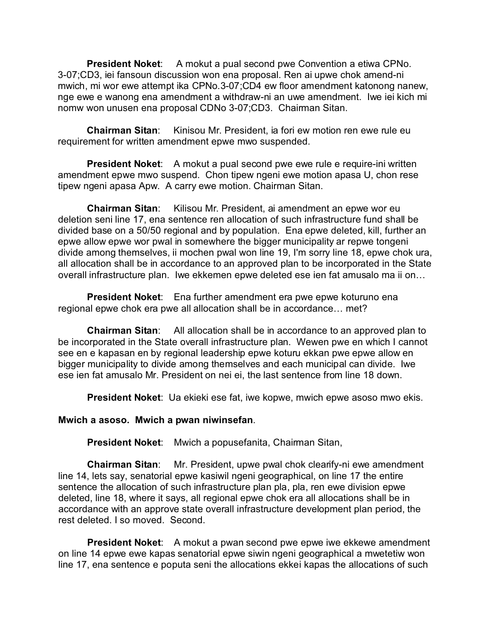**President Noket**: A mokut a pual second pwe Convention a etiwa CPNo. 3-07;CD3, iei fansoun discussion won ena proposal. Ren ai upwe chok amend-ni mwich, mi wor ewe attempt ika CPNo.3-07;CD4 ew floor amendment katonong nanew, nge ewe e wanong ena amendment a withdraw-ni an uwe amendment. Iwe iei kich mi nomw won unusen ena proposal CDNo 3-07;CD3. Chairman Sitan.

**Chairman Sitan**: Kinisou Mr. President, ia fori ew motion ren ewe rule eu requirement for written amendment epwe mwo suspended.

**President Noket:** A mokut a pual second pwe ewe rule e require-ini written amendment epwe mwo suspend. Chon tipew ngeni ewe motion apasa U, chon rese tipew ngeni apasa Apw. A carry ewe motion. Chairman Sitan.

**Chairman Sitan**: Kilisou Mr. President, ai amendment an epwe wor eu deletion seni line 17, ena sentence ren allocation of such infrastructure fund shall be divided base on a 50/50 regional and by population. Ena epwe deleted, kill, further an epwe allow epwe wor pwal in somewhere the bigger municipality ar repwe tongeni divide among themselves, ii mochen pwal won line 19, I'm sorry line 18, epwe chok ura, all allocation shall be in accordance to an approved plan to be incorporated in the State overall infrastructure plan. Iwe ekkemen epwe deleted ese ien fat amusalo ma ii on…

**President Noket**: Ena further amendment era pwe epwe koturuno ena regional epwe chok era pwe all allocation shall be in accordance… met?

**Chairman Sitan**: All allocation shall be in accordance to an approved plan to be incorporated in the State overall infrastructure plan. Wewen pwe en which I cannot see en e kapasan en by regional leadership epwe koturu ekkan pwe epwe allow en bigger municipality to divide among themselves and each municipal can divide. Iwe ese ien fat amusalo Mr. President on nei ei, the last sentence from line 18 down.

**President Noket**: Ua ekieki ese fat, iwe kopwe, mwich epwe asoso mwo ekis.

#### **Mwich a asoso. Mwich a pwan niwinsefan**.

**President Noket**: Mwich a popusefanita, Chairman Sitan,

**Chairman Sitan**: Mr. President, upwe pwal chok clearify-ni ewe amendment line 14, lets say, senatorial epwe kasiwil ngeni geographical, on line 17 the entire sentence the allocation of such infrastructure plan pla, pla, ren ewe division epwe deleted, line 18, where it says, all regional epwe chok era all allocations shall be in accordance with an approve state overall infrastructure development plan period, the rest deleted. I so moved. Second.

**President Noket**: A mokut a pwan second pwe epwe iwe ekkewe amendment on line 14 epwe ewe kapas senatorial epwe siwin ngeni geographical a mwetetiw won line 17, ena sentence e poputa seni the allocations ekkei kapas the allocations of such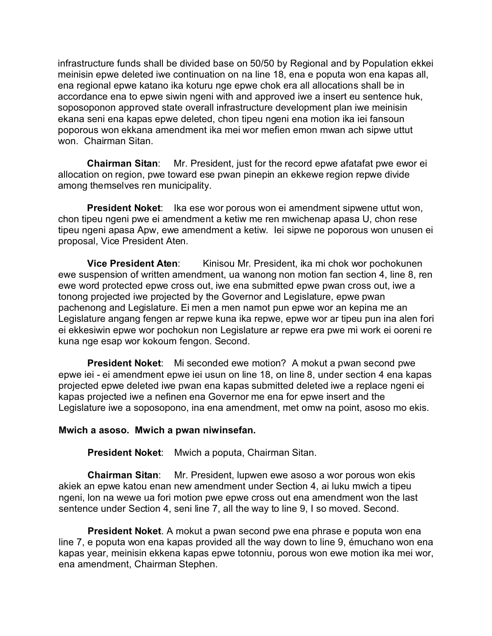infrastructure funds shall be divided base on 50/50 by Regional and by Population ekkei meinisin epwe deleted iwe continuation on na line 18, ena e poputa won ena kapas all, ena regional epwe katano ika koturu nge epwe chok era all allocations shall be in accordance ena to epwe siwin ngeni with and approved iwe a insert eu sentence huk, soposoponon approved state overall infrastructure development plan iwe meinisin ekana seni ena kapas epwe deleted, chon tipeu ngeni ena motion ika iei fansoun poporous won ekkana amendment ika mei wor mefien emon mwan ach sipwe uttut won. Chairman Sitan.

**Chairman Sitan**: Mr. President, just for the record epwe afatafat pwe ewor ei allocation on region, pwe toward ese pwan pinepin an ekkewe region repwe divide among themselves ren municipality.

**President Noket:** Ika ese wor porous won ei amendment sipwene uttut won, chon tipeu ngeni pwe ei amendment a ketiw me ren mwichenap apasa U, chon rese tipeu ngeni apasa Apw, ewe amendment a ketiw. Iei sipwe ne poporous won unusen ei proposal, Vice President Aten.

**Vice President Aten:** Kinisou Mr. President, ika mi chok wor pochokunen ewe suspension of written amendment, ua wanong non motion fan section 4, line 8, ren ewe word protected epwe cross out, iwe ena submitted epwe pwan cross out, iwe a tonong projected iwe projected by the Governor and Legislature, epwe pwan pachenong and Legislature. Ei men a men namot pun epwe wor an kepina me an Legislature angang fengen ar repwe kuna ika repwe, epwe wor ar tipeu pun ina alen fori ei ekkesiwin epwe wor pochokun non Legislature ar repwe era pwe mi work ei ooreni re kuna nge esap wor kokoum fengon. Second.

**President Noket:** Mi seconded ewe motion? A mokut a pwan second pwe epwe iei - ei amendment epwe iei usun on line 18, on line 8, under section 4 ena kapas projected epwe deleted iwe pwan ena kapas submitted deleted iwe a replace ngeni ei kapas projected iwe a nefinen ena Governor me ena for epwe insert and the Legislature iwe a soposopono, ina ena amendment, met omw na point, asoso mo ekis.

#### **Mwich a asoso. Mwich a pwan niwinsefan.**

**President Noket**: Mwich a poputa, Chairman Sitan.

**Chairman Sitan**: Mr. President, lupwen ewe asoso a wor porous won ekis akiek an epwe katou enan new amendment under Section 4, ai luku mwich a tipeu ngeni, lon na wewe ua fori motion pwe epwe cross out ena amendment won the last sentence under Section 4, seni line 7, all the way to line 9, I so moved. Second.

**President Noket**. A mokut a pwan second pwe ena phrase e poputa won ena line 7, e poputa won ena kapas provided all the way down to line 9, émuchano won ena kapas year, meinisin ekkena kapas epwe totonniu, porous won ewe motion ika mei wor, ena amendment, Chairman Stephen.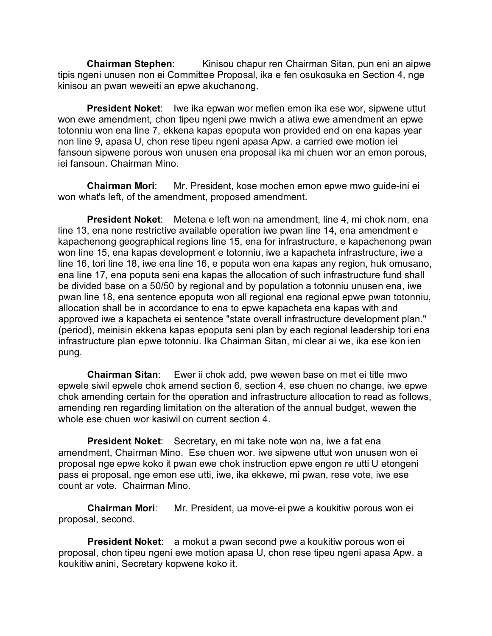**Chairman Stephen:** Kinisou chapur ren Chairman Sitan, pun eni an aipwe tipis ngeni unusen non ei Committee Proposal, ika e fen osukosuka en Section 4, nge kinisou an pwan weweiti an epwe akuchanong.

**President Noket:** Iwe ika epwan wor mefien emon ika ese wor, sipwene uttut won ewe amendment, chon tipeu ngeni pwe mwich a atiwa ewe amendment an epwe totonniu won ena line 7, ekkena kapas epoputa won provided end on ena kapas year non line 9, apasa U, chon rese tipeu ngeni apasa Apw. a carried ewe motion iei fansoun sipwene porous won unusen ena proposal ika mi chuen wor an emon porous, iei fansoun. Chairman Mino.

**Chairman Mori**: Mr. President, kose mochen emon epwe mwo guide-ini ei won what's left, of the amendment, proposed amendment.

**President Noket**: Metena e left won na amendment, line 4, mi chok nom, ena line 13, ena none restrictive available operation iwe pwan line 14, ena amendment e kapachenong geographical regions line 15, ena for infrastructure, e kapachenong pwan won line 15, ena kapas development e totonniu, iwe a kapacheta infrastructure, iwe a line 16, tori line 18, iwe ena line 16, e poputa won ena kapas any region, huk omusano, ena line 17, ena poputa seni ena kapas the allocation of such infrastructure fund shall be divided base on a 50/50 by regional and by population a totonniu unusen ena, iwe pwan line 18, ena sentence epoputa won all regional ena regional epwe pwan totonniu, allocation shall be in accordance to ena to epwe kapacheta ena kapas with and approved iwe a kapacheta ei sentence "state overall infrastructure development plan." (period), meinisin ekkena kapas epoputa seni plan by each regional leadership tori ena infrastructure plan epwe totonniu. Ika Chairman Sitan, mi clear ai we, ika ese kon ien pung.

**Chairman Sitan**: Ewer ii chok add, pwe wewen base on met ei title mwo epwele siwil epwele chok amend section 6, section 4, ese chuen no change, iwe epwe chok amending certain for the operation and infrastructure allocation to read as follows, amending ren regarding limitation on the alteration of the annual budget, wewen the whole ese chuen wor kasiwil on current section 4.

**President Noket:** Secretary, en mi take note won na, iwe a fat ena amendment, Chairman Mino. Ese chuen wor. iwe sipwene uttut won unusen won ei proposal nge epwe koko it pwan ewe chok instruction epwe engon re utti U etongeni pass ei proposal, nge emon ese utti, iwe, ika ekkewe, mi pwan, rese vote, iwe ese count ar vote. Chairman Mino.

**Chairman Mori**: Mr. President, ua move-ei pwe a koukitiw porous won ei proposal, second.

**President Noket**: a mokut a pwan second pwe a koukitiw porous won ei proposal, chon tipeu ngeni ewe motion apasa U, chon rese tipeu ngeni apasa Apw. a koukitiw anini, Secretary kopwene koko it.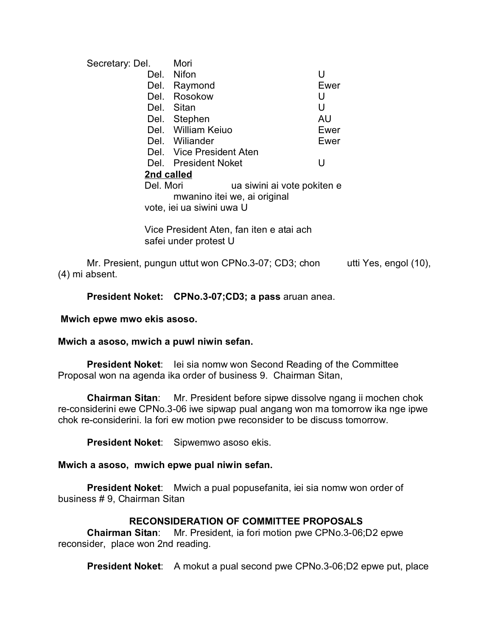| Secretary: Del. | Mori                                     |      |
|-----------------|------------------------------------------|------|
|                 | Del. Nifon                               | U    |
|                 | Del. Raymond                             | Ewer |
|                 | Del. Rosokow                             | U    |
|                 | Del. Sitan                               | U    |
|                 | Del. Stephen                             | AU   |
|                 | Del. William Keiuo                       | Ewer |
|                 | Del. Williander                          | Ewer |
|                 | Del. Vice President Aten                 |      |
|                 | Del. President Noket                     | U    |
|                 | 2nd called                               |      |
| Del. Mori       | ua siwini ai vote pokiten e              |      |
|                 | mwanino itei we, ai original             |      |
|                 | vote, iei ua siwini uwa U                |      |
|                 |                                          |      |
|                 | Vice President Aten, fan iten e atai ach |      |
|                 | safei under protest U                    |      |
|                 |                                          |      |

Mr. Presient, pungun uttut won CPNo.3-07; CD3; chon utti Yes, engol (10), (4) mi absent.

**President Noket: CPNo.3-07;CD3; a pass** aruan anea.

#### **Mwich epwe mwo ekis asoso.**

#### **Mwich a asoso, mwich a puwl niwin sefan.**

**President Noket:** lei sia nomw won Second Reading of the Committee Proposal won na agenda ika order of business 9. Chairman Sitan,

**Chairman Sitan**: Mr. President before sipwe dissolve ngang ii mochen chok re-considerini ewe CPNo.3-06 iwe sipwap pual angang won ma tomorrow ika nge ipwe chok re-considerini. Ia fori ew motion pwe reconsider to be discuss tomorrow.

**President Noket**: Sipwemwo asoso ekis.

#### **Mwich a asoso, mwich epwe pual niwin sefan.**

**President Noket**: Mwich a pual popusefanita, iei sia nomw won order of business # 9, Chairman Sitan

#### **RECONSIDERATION OF COMMITTEE PROPOSALS**

**Chairman Sitan**: Mr. President, ia fori motion pwe CPNo.3-06;D2 epwe reconsider, place won 2nd reading.

**President Noket:** A mokut a pual second pwe CPNo.3-06;D2 epwe put, place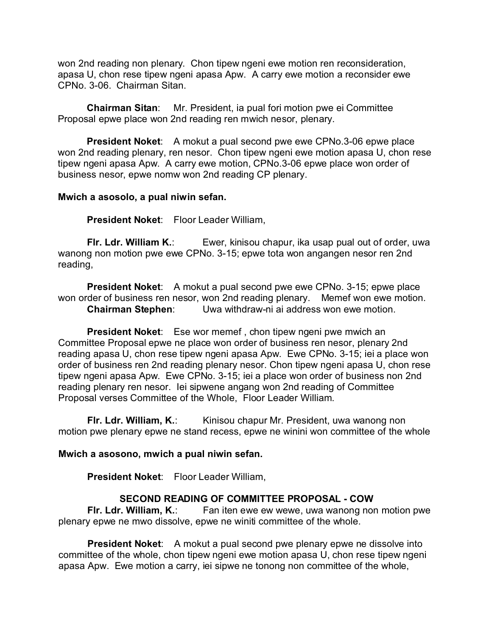won 2nd reading non plenary. Chon tipew ngeni ewe motion ren reconsideration, apasa U, chon rese tipew ngeni apasa Apw. A carry ewe motion a reconsider ewe CPNo. 3-06. Chairman Sitan.

**Chairman Sitan**: Mr. President, ia pual fori motion pwe ei Committee Proposal epwe place won 2nd reading ren mwich nesor, plenary.

**President Noket:** A mokut a pual second pwe ewe CPNo.3-06 epwe place won 2nd reading plenary, ren nesor. Chon tipew ngeni ewe motion apasa U, chon rese tipew ngeni apasa Apw. A carry ewe motion, CPNo.3-06 epwe place won order of business nesor, epwe nomw won 2nd reading CP plenary.

#### **Mwich a asosolo, a pual niwin sefan.**

**President Noket**: Floor Leader William,

**Flr. Ldr. William K.:** Ewer, kinisou chapur, ika usap pual out of order, uwa wanong non motion pwe ewe CPNo. 3-15; epwe tota won angangen nesor ren 2nd reading,

**President Noket**: A mokut a pual second pwe ewe CPNo. 3-15; epwe place won order of business ren nesor, won 2nd reading plenary. Memef won ewe motion. **Chairman Stephen**: Uwa withdraw-ni ai address won ewe motion.

**President Noket:** Ese wor memef, chon tipew ngeni pwe mwich an Committee Proposal epwe ne place won order of business ren nesor, plenary 2nd reading apasa U, chon rese tipew ngeni apasa Apw. Ewe CPNo. 3-15; iei a place won order of business ren 2nd reading plenary nesor. Chon tipew ngeni apasa U, chon rese tipew ngeni apasa Apw. Ewe CPNo. 3-15; iei a place won order of business non 2nd reading plenary ren nesor. Iei sipwene angang won 2nd reading of Committee Proposal verses Committee of the Whole, Floor Leader William.

**FIr. Ldr. William, K.:** Kinisou chapur Mr. President, uwa wanong non motion pwe plenary epwe ne stand recess, epwe ne winini won committee of the whole

#### **Mwich a asosono, mwich a pual niwin sefan.**

**President Noket**: Floor Leader William,

# **SECOND READING OF COMMITTEE PROPOSAL - COW**

**Flr. Ldr. William, K.**: Fan iten ewe ew wewe, uwa wanong non motion pwe plenary epwe ne mwo dissolve, epwe ne winiti committee of the whole.

**President Noket:** A mokut a pual second pwe plenary epwe ne dissolve into committee of the whole, chon tipew ngeni ewe motion apasa U, chon rese tipew ngeni apasa Apw. Ewe motion a carry, iei sipwe ne tonong non committee of the whole,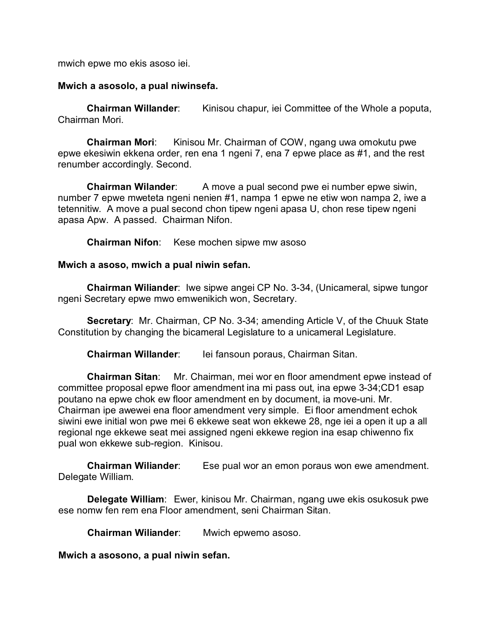mwich epwe mo ekis asoso iei.

#### **Mwich a asosolo, a pual niwinsefa.**

**Chairman Willander:** Kinisou chapur, iei Committee of the Whole a poputa, Chairman Mori.

**Chairman Mori:** Kinisou Mr. Chairman of COW, ngang uwa omokutu pwe epwe ekesiwin ekkena order, ren ena 1 ngeni 7, ena 7 epwe place as #1, and the rest renumber accordingly. Second.

**Chairman Wilander**: A move a pual second pwe ei number epwe siwin, number 7 epwe mweteta ngeni nenien #1, nampa 1 epwe ne etiw won nampa 2, iwe a tetennitiw. A move a pual second chon tipew ngeni apasa U, chon rese tipew ngeni apasa Apw. A passed. Chairman Nifon.

**Chairman Nifon**: Kese mochen sipwe mw asoso

#### **Mwich a asoso, mwich a pual niwin sefan.**

**Chairman Wiliander**: Iwe sipwe angei CP No. 3-34, (Unicameral, sipwe tungor ngeni Secretary epwe mwo emwenikich won, Secretary.

**Secretary**: Mr. Chairman, CP No. 3-34; amending Article V, of the Chuuk State Constitution by changing the bicameral Legislature to a unicameral Legislature.

**Chairman Willander**: Iei fansoun poraus, Chairman Sitan.

**Chairman Sitan**: Mr. Chairman, mei wor en floor amendment epwe instead of committee proposal epwe floor amendment ina mi pass out, ina epwe 3-34;CD1 esap poutano na epwe chok ew floor amendment en by document, ia move-uni. Mr. Chairman ipe awewei ena floor amendment very simple. Ei floor amendment echok siwini ewe initial won pwe mei 6 ekkewe seat won ekkewe 28, nge iei a open it up a all regional nge ekkewe seat mei assigned ngeni ekkewe region ina esap chiwenno fix pual won ekkewe sub-region. Kinisou.

**Chairman Wiliander**: Ese pual wor an emon poraus won ewe amendment. Delegate William.

**Delegate William**: Ewer, kinisou Mr. Chairman, ngang uwe ekis osukosuk pwe ese nomw fen rem ena Floor amendment, seni Chairman Sitan.

**Chairman Wiliander**: Mwich epwemo asoso.

**Mwich a asosono, a pual niwin sefan.**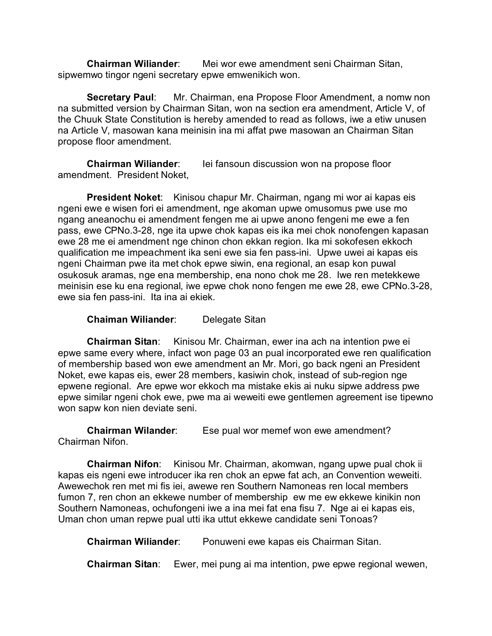**Chairman Wiliander**: Mei wor ewe amendment seni Chairman Sitan, sipwemwo tingor ngeni secretary epwe emwenikich won.

**Secretary Paul**: Mr. Chairman, ena Propose Floor Amendment, a nomw non na submitted version by Chairman Sitan, won na section era amendment, Article V, of the Chuuk State Constitution is hereby amended to read as follows, iwe a etiw unusen na Article V, masowan kana meinisin ina mi affat pwe masowan an Chairman Sitan propose floor amendment.

**Chairman Wiliander:** lei fansoun discussion won na propose floor amendment. President Noket,

**President Noket**: Kinisou chapur Mr. Chairman, ngang mi wor ai kapas eis ngeni ewe e wisen fori ei amendment, nge akoman upwe omusomus pwe use mo ngang aneanochu ei amendment fengen me ai upwe anono fengeni me ewe a fen pass, ewe CPNo.3-28, nge ita upwe chok kapas eis ika mei chok nonofengen kapasan ewe 28 me ei amendment nge chinon chon ekkan region. Ika mi sokofesen ekkoch qualification me impeachment ika seni ewe sia fen pass-ini. Upwe uwei ai kapas eis ngeni Chairman pwe ita met chok epwe siwin, ena regional, an esap kon puwal osukosuk aramas, nge ena membership, ena nono chok me 28. Iwe ren metekkewe meinisin ese ku ena regional, iwe epwe chok nono fengen me ewe 28, ewe CPNo.3-28, ewe sia fen pass-ini. Ita ina ai ekiek.

**Chaiman Wiliander**: Delegate Sitan

**Chairman Sitan**: Kinisou Mr. Chairman, ewer ina ach na intention pwe ei epwe same every where, infact won page 03 an pual incorporated ewe ren qualification of membership based won ewe amendment an Mr. Mori, go back ngeni an President Noket, ewe kapas eis, ewer 28 members, kasiwin chok, instead of sub-region nge epwene regional. Are epwe wor ekkoch ma mistake ekis ai nuku sipwe address pwe epwe similar ngeni chok ewe, pwe ma ai weweiti ewe gentlemen agreement ise tipewno won sapw kon nien deviate seni.

**Chairman Wilander**: Ese pual wor memef won ewe amendment? Chairman Nifon.

**Chairman Nifon**: Kinisou Mr. Chairman, akomwan, ngang upwe pual chok ii kapas eis ngeni ewe introducer ika ren chok an epwe fat ach, an Convention weweiti. Awewechok ren met mi fis iei, awewe ren Southern Namoneas ren local members fumon 7, ren chon an ekkewe number of membership ew me ew ekkewe kinikin non Southern Namoneas, ochufongeni iwe a ina mei fat ena fisu 7. Nge ai ei kapas eis, Uman chon uman repwe pual utti ika uttut ekkewe candidate seni Tonoas?

**Chairman Wiliander**: Ponuweni ewe kapas eis Chairman Sitan.

**Chairman Sitan**: Ewer, mei pung ai ma intention, pwe epwe regional wewen,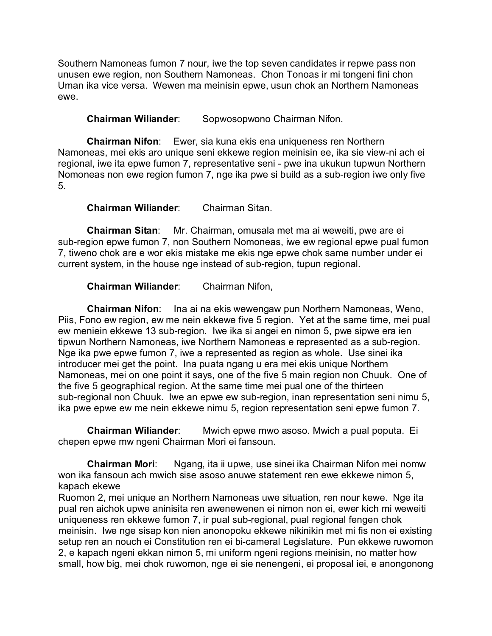Southern Namoneas fumon 7 nour, iwe the top seven candidates ir repwe pass non unusen ewe region, non Southern Namoneas. Chon Tonoas ir mi tongeni fini chon Uman ika vice versa. Wewen ma meinisin epwe, usun chok an Northern Namoneas ewe.

**Chairman Wiliander**: Sopwosopwono Chairman Nifon.

**Chairman Nifon**: Ewer, sia kuna ekis ena uniqueness ren Northern Namoneas, mei ekis aro unique seni ekkewe region meinisin ee, ika sie view-ni ach ei regional, iwe ita epwe fumon 7, representative seni - pwe ina ukukun tupwun Northern Nomoneas non ewe region fumon 7, nge ika pwe si build as a sub-region iwe only five 5.

**Chairman Wiliander**: Chairman Sitan.

**Chairman Sitan**: Mr. Chairman, omusala met ma ai weweiti, pwe are ei sub-region epwe fumon 7, non Southern Nomoneas, iwe ew regional epwe pual fumon 7, tiweno chok are e wor ekis mistake me ekis nge epwe chok same number under ei current system, in the house nge instead of sub-region, tupun regional.

**Chairman Wiliander**: Chairman Nifon,

**Chairman Nifon**: Ina ai na ekis wewengaw pun Northern Namoneas, Weno, Piis, Fono ew region, ew me nein ekkewe five 5 region. Yet at the same time, mei pual ew meniein ekkewe 13 sub-region. Iwe ika si angei en nimon 5, pwe sipwe era ien tipwun Northern Namoneas, iwe Northern Namoneas e represented as a sub-region. Nge ika pwe epwe fumon 7, iwe a represented as region as whole. Use sinei ika introducer mei get the point. Ina puata ngang u era mei ekis unique Northern Namoneas, mei on one point it says, one of the five 5 main region non Chuuk. One of the five 5 geographical region. At the same time mei pual one of the thirteen sub-regional non Chuuk. Iwe an epwe ew sub-region, inan representation seni nimu 5, ika pwe epwe ew me nein ekkewe nimu 5, region representation seni epwe fumon 7.

**Chairman Wiliander**: Mwich epwe mwo asoso. Mwich a pual poputa. Ei chepen epwe mw ngeni Chairman Mori ei fansoun.

 **Chairman Mori**: Ngang, ita ii upwe, use sinei ika Chairman Nifon mei nomw won ika fansoun ach mwich sise asoso anuwe statement ren ewe ekkewe nimon 5, kapach ekewe

Ruomon 2, mei unique an Northern Namoneas uwe situation, ren nour kewe. Nge ita pual ren aichok upwe aninisita ren awenewenen ei nimon non ei, ewer kich mi weweiti uniqueness ren ekkewe fumon 7, ir pual sub-regional, pual regional fengen chok meinisin. Iwe nge sisap kon nien anonopoku ekkewe nikinikin met mi fis non ei existing setup ren an nouch ei Constitution ren ei bi-cameral Legislature. Pun ekkewe ruwomon 2, e kapach ngeni ekkan nimon 5, mi uniform ngeni regions meinisin, no matter how small, how big, mei chok ruwomon, nge ei sie nenengeni, ei proposal iei, e anongonong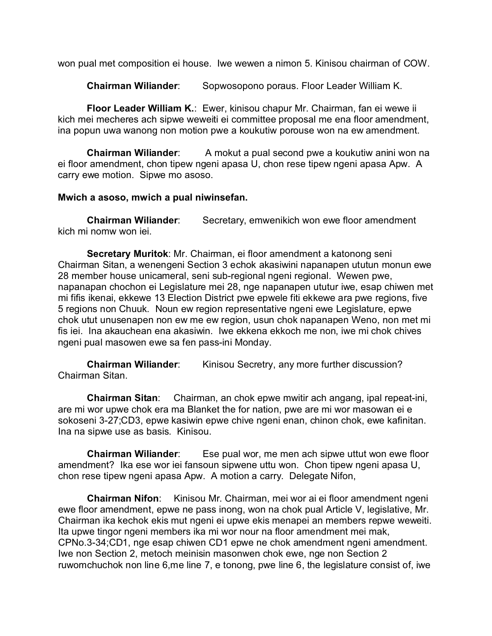won pual met composition ei house. Iwe wewen a nimon 5. Kinisou chairman of COW.

**Chairman Wiliander**: Sopwosopono poraus. Floor Leader William K.

**Floor Leader William K.**: Ewer, kinisou chapur Mr. Chairman, fan ei wewe ii kich mei mecheres ach sipwe weweiti ei committee proposal me ena floor amendment, ina popun uwa wanong non motion pwe a koukutiw porouse won na ew amendment.

**Chairman Wiliander:** A mokut a pual second pwe a koukutiw anini won na ei floor amendment, chon tipew ngeni apasa U, chon rese tipew ngeni apasa Apw. A carry ewe motion. Sipwe mo asoso.

## **Mwich a asoso, mwich a pual niwinsefan.**

**Chairman Wiliander**: Secretary, emwenikich won ewe floor amendment kich mi nomw won iei.

**Secretary Muritok**: Mr. Chairman, ei floor amendment a katonong seni Chairman Sitan, a wenengeni Section 3 echok akasiwini napanapen ututun monun ewe 28 member house unicameral, seni sub-regional ngeni regional. Wewen pwe, napanapan chochon ei Legislature mei 28, nge napanapen ututur iwe, esap chiwen met mi fifis ikenai, ekkewe 13 Election District pwe epwele fiti ekkewe ara pwe regions, five 5 regions non Chuuk. Noun ew region representative ngeni ewe Legislature, epwe chok utut unusenapen non ew me ew region, usun chok napanapen Weno, non met mi fis iei. Ina akauchean ena akasiwin. Iwe ekkena ekkoch me non, iwe mi chok chives ngeni pual masowen ewe sa fen pass-ini Monday.

**Chairman Wiliander:** Kinisou Secretry, any more further discussion? Chairman Sitan.

**Chairman Sitan**: Chairman, an chok epwe mwitir ach angang, ipal repeat-ini, are mi wor upwe chok era ma Blanket the for nation, pwe are mi wor masowan ei e sokoseni 3-27;CD3, epwe kasiwin epwe chive ngeni enan, chinon chok, ewe kafinitan. Ina na sipwe use as basis. Kinisou.

**Chairman Wiliander**: Ese pual wor, me men ach sipwe uttut won ewe floor amendment? Ika ese wor iei fansoun sipwene uttu won. Chon tipew ngeni apasa U, chon rese tipew ngeni apasa Apw. A motion a carry. Delegate Nifon,

**Chairman Nifon**: Kinisou Mr. Chairman, mei wor ai ei floor amendment ngeni ewe floor amendment, epwe ne pass inong, won na chok pual Article V, legislative, Mr. Chairman ika kechok ekis mut ngeni ei upwe ekis menapei an members repwe weweiti. Ita upwe tingor ngeni members ika mi wor nour na floor amendment mei mak, CPNo.3-34;CD1, nge esap chiwen CD1 epwe ne chok amendment ngeni amendment. Iwe non Section 2, metoch meinisin masonwen chok ewe, nge non Section 2 ruwomchuchok non line 6,me line 7, e tonong, pwe line 6, the legislature consist of, iwe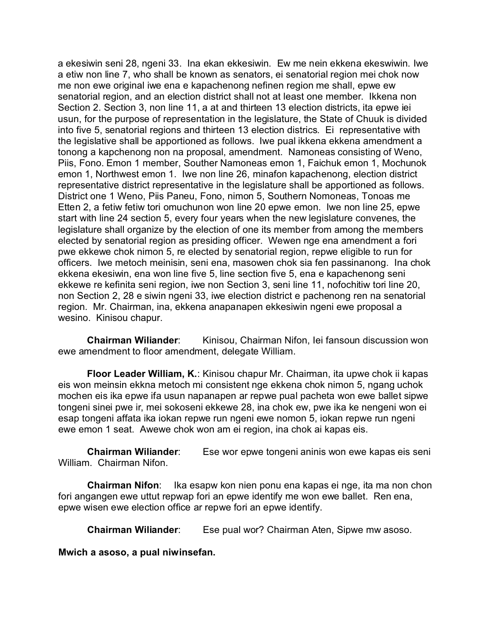a ekesiwin seni 28, ngeni 33. Ina ekan ekkesiwin. Ew me nein ekkena ekeswiwin. Iwe a etiw non line 7, who shall be known as senators, ei senatorial region mei chok now me non ewe original iwe ena e kapachenong nefinen region me shall, epwe ew senatorial region, and an election district shall not at least one member. Ikkena non Section 2. Section 3, non line 11, a at and thirteen 13 election districts, ita epwe iei usun, for the purpose of representation in the legislature, the State of Chuuk is divided into five 5, senatorial regions and thirteen 13 election districs. Ei representative with the legislative shall be apportioned as follows. Iwe pual ikkena ekkena amendment a tonong a kapchenong non na proposal, amendment. Namoneas consisting of Weno, Piis, Fono. Emon 1 member, Souther Namoneas emon 1, Faichuk emon 1, Mochunok emon 1, Northwest emon 1. Iwe non line 26, minafon kapachenong, election district representative district representative in the legislature shall be apportioned as follows. District one 1 Weno, Piis Paneu, Fono, nimon 5, Southern Nomoneas, Tonoas me Etten 2, a fetiw fetiw tori omuchunon won line 20 epwe emon. Iwe non line 25, epwe start with line 24 section 5, every four years when the new legislature convenes, the legislature shall organize by the election of one its member from among the members elected by senatorial region as presiding officer. Wewen nge ena amendment a fori pwe ekkewe chok nimon 5, re elected by senatorial region, repwe eligible to run for officers. Iwe metoch meinisin, seni ena, masowen chok sia fen passinanong. Ina chok ekkena ekesiwin, ena won line five 5, line section five 5, ena e kapachenong seni ekkewe re kefinita seni region, iwe non Section 3, seni line 11, nofochitiw tori line 20, non Section 2, 28 e siwin ngeni 33, iwe election district e pachenong ren na senatorial region. Mr. Chairman, ina, ekkena anapanapen ekkesiwin ngeni ewe proposal a wesino. Kinisou chapur.

**Chairman Wiliander:** Kinisou, Chairman Nifon, lei fansoun discussion won ewe amendment to floor amendment, delegate William.

**Floor Leader William, K.**: Kinisou chapur Mr. Chairman, ita upwe chok ii kapas eis won meinsin ekkna metoch mi consistent nge ekkena chok nimon 5, ngang uchok mochen eis ika epwe ifa usun napanapen ar repwe pual pacheta won ewe ballet sipwe tongeni sinei pwe ir, mei sokoseni ekkewe 28, ina chok ew, pwe ika ke nengeni won ei esap tongeni affata ika iokan repwe run ngeni ewe nomon 5, iokan repwe run ngeni ewe emon 1 seat. Awewe chok won am ei region, ina chok ai kapas eis.

**Chairman Wiliander**: Ese wor epwe tongeni aninis won ewe kapas eis seni William. Chairman Nifon.

**Chairman Nifon**: Ika esapw kon nien ponu ena kapas ei nge, ita ma non chon fori angangen ewe uttut repwap fori an epwe identify me won ewe ballet. Ren ena, epwe wisen ewe election office ar repwe fori an epwe identify.

**Chairman Wiliander**: Ese pual wor? Chairman Aten, Sipwe mw asoso.

**Mwich a asoso, a pual niwinsefan.**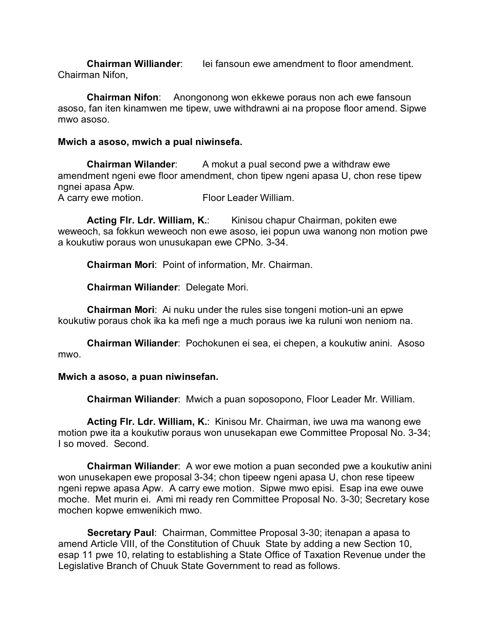**Chairman Williander**: Iei fansoun ewe amendment to floor amendment. Chairman Nifon,

**Chairman Nifon**: Anongonong won ekkewe poraus non ach ewe fansoun asoso, fan iten kinamwen me tipew, uwe withdrawni ai na propose floor amend. Sipwe mwo asoso.

## **Mwich a asoso, mwich a pual niwinsefa.**

**Chairman Wilander**: A mokut a pual second pwe a withdraw ewe amendment ngeni ewe floor amendment, chon tipew ngeni apasa U, chon rese tipew ngnei apasa Apw.

A carry ewe motion. Floor Leader William.

**Acting Flr. Ldr. William, K.:** Kinisou chapur Chairman, pokiten ewe weweoch, sa fokkun weweoch non ewe asoso, iei popun uwa wanong non motion pwe a koukutiw poraus won unusukapan ewe CPNo. 3-34.

**Chairman Mori**: Point of information, Mr. Chairman.

**Chairman Wiliander**: Delegate Mori.

**Chairman Mori**: Ai nuku under the rules sise tongeni motion-uni an epwe koukutiw poraus chok ika ka mefi nge a much poraus iwe ka ruluni won neniom na.

**Chairman Wiliander**: Pochokunen ei sea, ei chepen, a koukutiw anini. Asoso mwo.

#### **Mwich a asoso, a puan niwinsefan.**

**Chairman Wiliander**: Mwich a puan soposopono, Floor Leader Mr. William.

**Acting Flr. Ldr. William, K.**: Kinisou Mr. Chairman, iwe uwa ma wanong ewe motion pwe ita a koukutiw poraus won unusekapan ewe Committee Proposal No. 3-34; I so moved. Second.

**Chairman Wiliander**: A wor ewe motion a puan seconded pwe a koukutiw anini won unusekapen ewe proposal 3-34; chon tipeew ngeni apasa U, chon rese tipeew ngeni repwe apasa Apw. A carry ewe motion. Sipwe mwo episi. Esap ina ewe ouwe moche. Met murin ei. Ami mi ready ren Committee Proposal No. 3-30; Secretary kose mochen kopwe emwenikich mwo.

**Secretary Paul**: Chairman, Committee Proposal 3-30; itenapan a apasa to amend Article VIII, of the Constitution of Chuuk State by adding a new Section 10, esap 11 pwe 10, relating to establishing a State Office of Taxation Revenue under the Legislative Branch of Chuuk State Government to read as follows.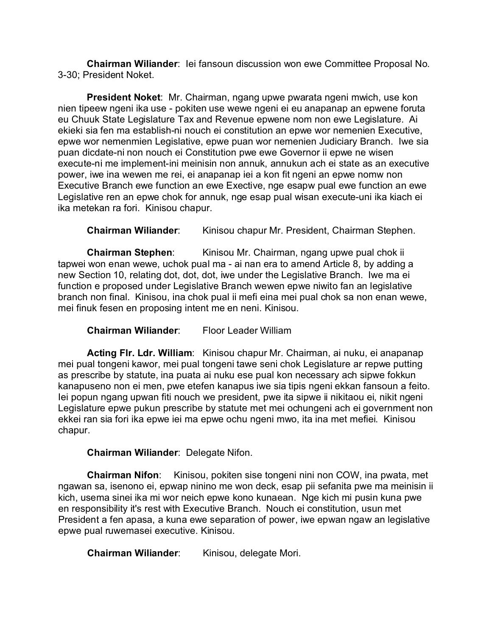**Chairman Wiliander**: Iei fansoun discussion won ewe Committee Proposal No. 3-30; President Noket.

**President Noket**: Mr. Chairman, ngang upwe pwarata ngeni mwich, use kon nien tipeew ngeni ika use - pokiten use wewe ngeni ei eu anapanap an epwene foruta eu Chuuk State Legislature Tax and Revenue epwene nom non ewe Legislature. Ai ekieki sia fen ma establish-ni nouch ei constitution an epwe wor nemenien Executive, epwe wor nemenmien Legislative, epwe puan wor nemenien Judiciary Branch. Iwe sia puan dicdate-ni non nouch ei Constitution pwe ewe Governor ii epwe ne wisen execute-ni me implement-ini meinisin non annuk, annukun ach ei state as an executive power, iwe ina wewen me rei, ei anapanap iei a kon fit ngeni an epwe nomw non Executive Branch ewe function an ewe Exective, nge esapw pual ewe function an ewe Legislative ren an epwe chok for annuk, nge esap pual wisan execute-uni ika kiach ei ika metekan ra fori. Kinisou chapur.

**Chairman Wiliander**: Kinisou chapur Mr. President, Chairman Stephen.

**Chairman Stephen**: Kinisou Mr. Chairman, ngang upwe pual chok ii tapwei won enan wewe, uchok pual ma - ai nan era to amend Article 8, by adding a new Section 10, relating dot, dot, dot, iwe under the Legislative Branch. Iwe ma ei function e proposed under Legislative Branch wewen epwe niwito fan an legislative branch non final. Kinisou, ina chok pual ii mefi eina mei pual chok sa non enan wewe, mei finuk fesen en proposing intent me en neni. Kinisou.

**Chairman Wiliander**: Floor Leader William

**Acting Flr. Ldr. William**: Kinisou chapur Mr. Chairman, ai nuku, ei anapanap mei pual tongeni kawor, mei pual tongeni tawe seni chok Legislature ar repwe putting as prescribe by statute, ina puata ai nuku ese pual kon necessary ach sipwe fokkun kanapuseno non ei men, pwe etefen kanapus iwe sia tipis ngeni ekkan fansoun a feito. Iei popun ngang upwan fiti nouch we president, pwe ita sipwe ii nikitaou ei, nikit ngeni Legislature epwe pukun prescribe by statute met mei ochungeni ach ei government non ekkei ran sia fori ika epwe iei ma epwe ochu ngeni mwo, ita ina met mefiei. Kinisou chapur.

# **Chairman Wiliander**: Delegate Nifon.

**Chairman Nifon**: Kinisou, pokiten sise tongeni nini non COW, ina pwata, met ngawan sa, isenono ei, epwap ninino me won deck, esap pii sefanita pwe ma meinisin ii kich, usema sinei ika mi wor neich epwe kono kunaean. Nge kich mi pusin kuna pwe en responsibility it's rest with Executive Branch. Nouch ei constitution, usun met President a fen apasa, a kuna ewe separation of power, iwe epwan ngaw an legislative epwe pual ruwemasei executive. Kinisou.

**Chairman Wiliander**: Kinisou, delegate Mori.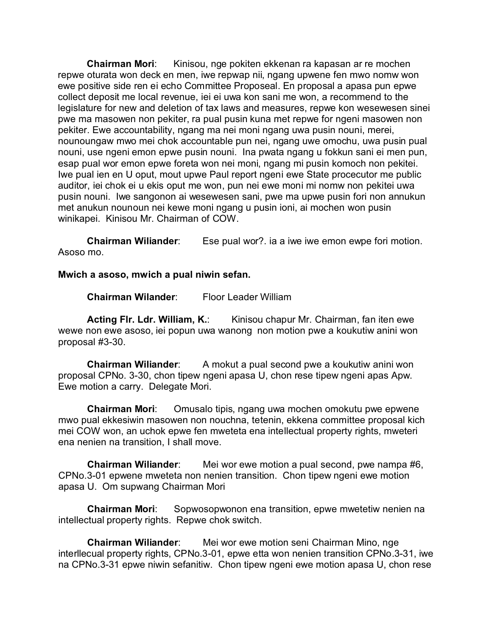**Chairman Mori**: Kinisou, nge pokiten ekkenan ra kapasan ar re mochen repwe oturata won deck en men, iwe repwap nii, ngang upwene fen mwo nomw won ewe positive side ren ei echo Committee Proposeal. En proposal a apasa pun epwe collect deposit me local revenue, iei ei uwa kon sani me won, a recommend to the legislature for new and deletion of tax laws and measures, repwe kon wesewesen sinei pwe ma masowen non pekiter, ra pual pusin kuna met repwe for ngeni masowen non pekiter. Ewe accountability, ngang ma nei moni ngang uwa pusin nouni, merei, nounoungaw mwo mei chok accountable pun nei, ngang uwe omochu, uwa pusin pual nouni, use ngeni emon epwe pusin nouni. Ina pwata ngang u fokkun sani ei men pun, esap pual wor emon epwe foreta won nei moni, ngang mi pusin komoch non pekitei. Iwe pual ien en U oput, mout upwe Paul report ngeni ewe State procecutor me public auditor, iei chok ei u ekis oput me won, pun nei ewe moni mi nomw non pekitei uwa pusin nouni. Iwe sangonon ai wesewesen sani, pwe ma upwe pusin fori non annukun met anukun nounoun nei kewe moni ngang u pusin ioni, ai mochen won pusin winikapei. Kinisou Mr. Chairman of COW.

**Chairman Wiliander**: Ese pual wor?. ia a iwe iwe emon ewpe fori motion. Asoso mo.

**Mwich a asoso, mwich a pual niwin sefan.**

**Chairman Wilander**: Floor Leader William

**Acting Flr. Ldr. William, K.:** Kinisou chapur Mr. Chairman, fan iten ewe wewe non ewe asoso, iei popun uwa wanong non motion pwe a koukutiw anini won proposal #3-30.

**Chairman Wiliander**: A mokut a pual second pwe a koukutiw anini won proposal CPNo. 3-30, chon tipew ngeni apasa U, chon rese tipew ngeni apas Apw. Ewe motion a carry. Delegate Mori.

**Chairman Mori**: Omusalo tipis, ngang uwa mochen omokutu pwe epwene mwo pual ekkesiwin masowen non nouchna, tetenin, ekkena committee proposal kich mei COW won, an uchok epwe fen mweteta ena intellectual property rights, mweteri ena nenien na transition, I shall move.

**Chairman Wiliander**: Mei wor ewe motion a pual second, pwe nampa #6, CPNo.3-01 epwene mweteta non nenien transition. Chon tipew ngeni ewe motion apasa U. Om supwang Chairman Mori

**Chairman Mori**: Sopwosopwonon ena transition, epwe mwetetiw nenien na intellectual property rights. Repwe chok switch.

**Chairman Wiliander**: Mei wor ewe motion seni Chairman Mino, nge interllecual property rights, CPNo.3-01, epwe etta won nenien transition CPNo.3-31, iwe na CPNo.3-31 epwe niwin sefanitiw. Chon tipew ngeni ewe motion apasa U, chon rese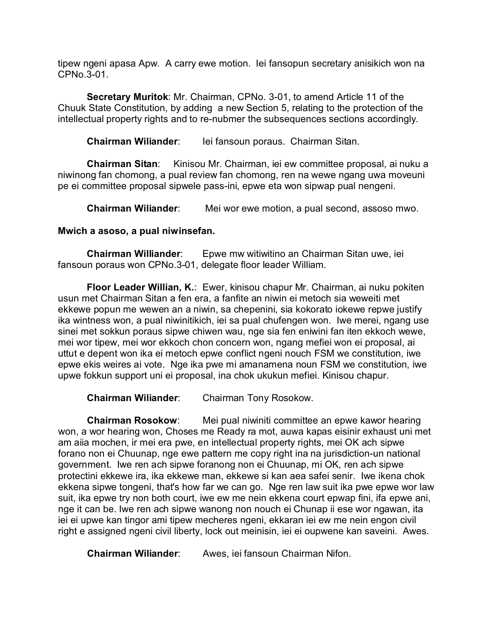tipew ngeni apasa Apw. A carry ewe motion. Iei fansopun secretary anisikich won na CPNo.3-01.

**Secretary Muritok**: Mr. Chairman, CPNo. 3-01, to amend Article 11 of the Chuuk State Constitution, by adding a new Section 5, relating to the protection of the intellectual property rights and to re-nubmer the subsequences sections accordingly.

**Chairman Wiliander**: Iei fansoun poraus. Chairman Sitan.

**Chairman Sitan**: Kinisou Mr. Chairman, iei ew committee proposal, ai nuku a niwinong fan chomong, a pual review fan chomong, ren na wewe ngang uwa moveuni pe ei committee proposal sipwele pass-ini, epwe eta won sipwap pual nengeni.

**Chairman Wiliander**: Mei wor ewe motion, a pual second, assoso mwo.

# **Mwich a asoso, a pual niwinsefan.**

**Chairman Williander**: Epwe mw witiwitino an Chairman Sitan uwe, iei fansoun poraus won CPNo.3-01, delegate floor leader William.

**Floor Leader Willian, K.**: Ewer, kinisou chapur Mr. Chairman, ai nuku pokiten usun met Chairman Sitan a fen era, a fanfite an niwin ei metoch sia weweiti met ekkewe popun me wewen an a niwin, sa chepenini, sia kokorato iokewe repwe justify ika wintness won, a pual niwinitikich, iei sa pual chufengen won. Iwe merei, ngang use sinei met sokkun poraus sipwe chiwen wau, nge sia fen eniwini fan iten ekkoch wewe, mei wor tipew, mei wor ekkoch chon concern won, ngang mefiei won ei proposal, ai uttut e depent won ika ei metoch epwe conflict ngeni nouch FSM we constitution, iwe epwe ekis weires ai vote. Nge ika pwe mi amanamena noun FSM we constitution, iwe upwe fokkun support uni ei proposal, ina chok ukukun mefiei. Kinisou chapur.

**Chairman Wiliander**: Chairman Tony Rosokow.

**Chairman Rosokow**: Mei pual niwiniti committee an epwe kawor hearing won, a wor hearing won, Choses me Ready ra mot, auwa kapas eisinir exhaust uni met am aiia mochen, ir mei era pwe, en intellectual property rights, mei OK ach sipwe forano non ei Chuunap, nge ewe pattern me copy right ina na jurisdiction-un national government. Iwe ren ach sipwe foranong non ei Chuunap, mi OK, ren ach sipwe protectini ekkewe ira, ika ekkewe man, ekkewe si kan aea safei senir. Iwe ikena chok ekkena sipwe tongeni, that's how far we can go. Nge ren law suit ika pwe epwe wor law suit, ika epwe try non both court, iwe ew me nein ekkena court epwap fini, ifa epwe ani, nge it can be. Iwe ren ach sipwe wanong non nouch ei Chunap ii ese wor ngawan, ita iei ei upwe kan tingor ami tipew mecheres ngeni, ekkaran iei ew me nein engon civil right e assigned ngeni civil liberty, lock out meinisin, iei ei oupwene kan saveini. Awes.

**Chairman Wiliander**: Awes, iei fansoun Chairman Nifon.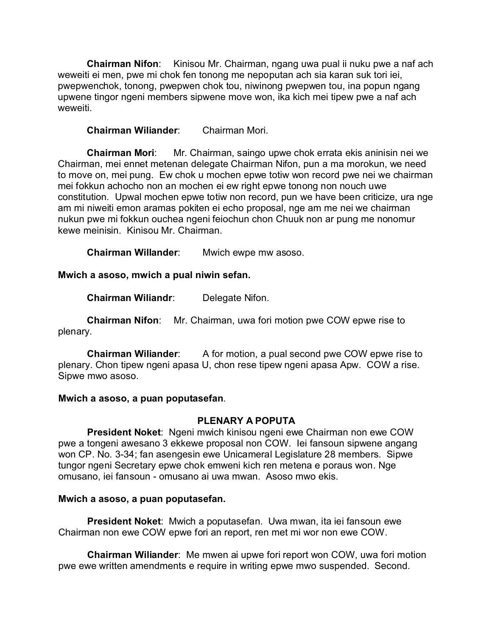**Chairman Nifon**: Kinisou Mr. Chairman, ngang uwa pual ii nuku pwe a naf ach weweiti ei men, pwe mi chok fen tonong me nepoputan ach sia karan suk tori iei, pwepwenchok, tonong, pwepwen chok tou, niwinong pwepwen tou, ina popun ngang upwene tingor ngeni members sipwene move won, ika kich mei tipew pwe a naf ach weweiti.

**Chairman Wiliander**: Chairman Mori.

**Chairman Mori**: Mr. Chairman, saingo upwe chok errata ekis aninisin nei we Chairman, mei ennet metenan delegate Chairman Nifon, pun a ma morokun, we need to move on, mei pung. Ew chok u mochen epwe totiw won record pwe nei we chairman mei fokkun achocho non an mochen ei ew right epwe tonong non nouch uwe constitution. Upwal mochen epwe totiw non record, pun we have been criticize, ura nge am mi niweiti emon aramas pokiten ei echo proposal, nge am me nei we chairman nukun pwe mi fokkun ouchea ngeni feiochun chon Chuuk non ar pung me nonomur kewe meinisin. Kinisou Mr. Chairman.

**Chairman Willander**: Mwich ewpe mw asoso.

**Mwich a asoso, mwich a pual niwin sefan.**

**Chairman Wiliandr**: Delegate Nifon.

**Chairman Nifon**: Mr. Chairman, uwa fori motion pwe COW epwe rise to plenary.

**Chairman Wiliander:** A for motion, a pual second pwe COW epwe rise to plenary. Chon tipew ngeni apasa U, chon rese tipew ngeni apasa Apw. COW a rise. Sipwe mwo asoso.

# **Mwich a asoso, a puan poputasefan**.

# **PLENARY A POPUTA**

**President Noket**: Ngeni mwich kinisou ngeni ewe Chairman non ewe COW pwe a tongeni awesano 3 ekkewe proposal non COW. Iei fansoun sipwene angang won CP. No. 3-34; fan asengesin ewe Unicameral Legislature 28 members. Sipwe tungor ngeni Secretary epwe chok emweni kich ren metena e poraus won. Nge omusano, iei fansoun - omusano ai uwa mwan. Asoso mwo ekis.

# **Mwich a asoso, a puan poputasefan.**

**President Noket**: Mwich a poputasefan. Uwa mwan, ita iei fansoun ewe Chairman non ewe COW epwe fori an report, ren met mi wor non ewe COW.

**Chairman Wiliander**: Me mwen ai upwe fori report won COW, uwa fori motion pwe ewe written amendments e require in writing epwe mwo suspended. Second.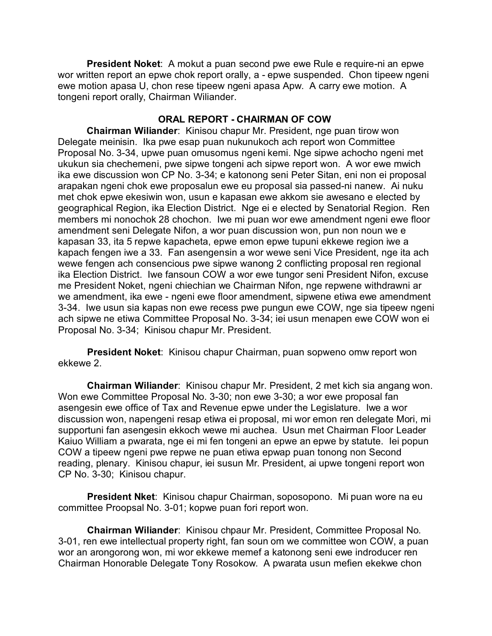**President Noket**: A mokut a puan second pwe ewe Rule e require-ni an epwe wor written report an epwe chok report orally, a - epwe suspended. Chon tipeew ngeni ewe motion apasa U, chon rese tipeew ngeni apasa Apw. A carry ewe motion. A tongeni report orally, Chairman Wiliander.

# **ORAL REPORT - CHAIRMAN OF COW**

**Chairman Wiliander**: Kinisou chapur Mr. President, nge puan tirow won Delegate meinisin. Ika pwe esap puan nukunukoch ach report won Committee Proposal No. 3-34, upwe puan omusomus ngeni kemi. Nge sipwe achocho ngeni met ukukun sia chechemeni, pwe sipwe tongeni ach sipwe report won. A wor ewe mwich ika ewe discussion won CP No. 3-34; e katonong seni Peter Sitan, eni non ei proposal arapakan ngeni chok ewe proposalun ewe eu proposal sia passed-ni nanew. Ai nuku met chok epwe ekesiwin won, usun e kapasan ewe akkom sie awesano e elected by geographical Region, ika Election District. Nge ei e elected by Senatorial Region. Ren members mi nonochok 28 chochon. Iwe mi puan wor ewe amendment ngeni ewe floor amendment seni Delegate Nifon, a wor puan discussion won, pun non noun we e kapasan 33, ita 5 repwe kapacheta, epwe emon epwe tupuni ekkewe region iwe a kapach fengen iwe a 33. Fan asengensin a wor wewe seni Vice President, nge ita ach wewe fengen ach consencious pwe sipwe wanong 2 conflicting proposal ren regional ika Election District. Iwe fansoun COW a wor ewe tungor seni President Nifon, excuse me President Noket, ngeni chiechian we Chairman Nifon, nge repwene withdrawni ar we amendment, ika ewe - ngeni ewe floor amendment, sipwene etiwa ewe amendment 3-34. Iwe usun sia kapas non ewe recess pwe pungun ewe COW, nge sia tipeew ngeni ach sipwe ne etiwa Committee Proposal No. 3-34; iei usun menapen ewe COW won ei Proposal No. 3-34; Kinisou chapur Mr. President.

**President Noket**: Kinisou chapur Chairman, puan sopweno omw report won ekkewe 2.

**Chairman Wiliander**: Kinisou chapur Mr. President, 2 met kich sia angang won. Won ewe Committee Proposal No. 3-30; non ewe 3-30; a wor ewe proposal fan asengesin ewe office of Tax and Revenue epwe under the Legislature. Iwe a wor discussion won, napengeni resap etiwa ei proposal, mi wor emon ren delegate Mori, mi supportuni fan asengesin ekkoch wewe mi auchea. Usun met Chairman Floor Leader Kaiuo William a pwarata, nge ei mi fen tongeni an epwe an epwe by statute. Iei popun COW a tipeew ngeni pwe repwe ne puan etiwa epwap puan tonong non Second reading, plenary. Kinisou chapur, iei susun Mr. President, ai upwe tongeni report won CP No. 3-30; Kinisou chapur.

**President Nket**: Kinisou chapur Chairman, soposopono. Mi puan wore na eu committee Proopsal No. 3-01; kopwe puan fori report won.

**Chairman Wiliander**: Kinisou chpaur Mr. President, Committee Proposal No. 3-01, ren ewe intellectual property right, fan soun om we committee won COW, a puan wor an arongorong won, mi wor ekkewe memef a katonong seni ewe indroducer ren Chairman Honorable Delegate Tony Rosokow. A pwarata usun mefien ekekwe chon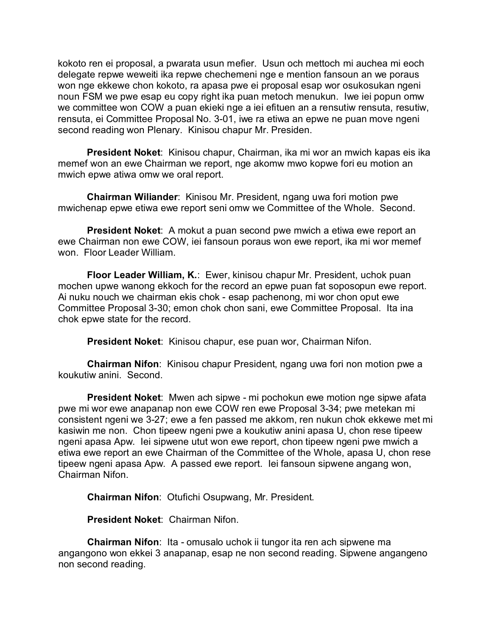kokoto ren ei proposal, a pwarata usun mefier. Usun och mettoch mi auchea mi eoch delegate repwe weweiti ika repwe chechemeni nge e mention fansoun an we poraus won nge ekkewe chon kokoto, ra apasa pwe ei proposal esap wor osukosukan ngeni noun FSM we pwe esap eu copy right ika puan metoch menukun. Iwe iei popun omw we committee won COW a puan ekieki nge a iei efituen an a rensutiw rensuta, resutiw, rensuta, ei Committee Proposal No. 3-01, iwe ra etiwa an epwe ne puan move ngeni second reading won Plenary. Kinisou chapur Mr. Presiden.

**President Noket**: Kinisou chapur, Chairman, ika mi wor an mwich kapas eis ika memef won an ewe Chairman we report, nge akomw mwo kopwe fori eu motion an mwich epwe atiwa omw we oral report.

**Chairman Wiliander**: Kinisou Mr. President, ngang uwa fori motion pwe mwichenap epwe etiwa ewe report seni omw we Committee of the Whole. Second.

**President Noket:** A mokut a puan second pwe mwich a etiwa ewe report an ewe Chairman non ewe COW, iei fansoun poraus won ewe report, ika mi wor memef won. Floor Leader William.

**Floor Leader William, K.**: Ewer, kinisou chapur Mr. President, uchok puan mochen upwe wanong ekkoch for the record an epwe puan fat soposopun ewe report. Ai nuku nouch we chairman ekis chok - esap pachenong, mi wor chon oput ewe Committee Proposal 3-30; emon chok chon sani, ewe Committee Proposal. Ita ina chok epwe state for the record.

**President Noket**: Kinisou chapur, ese puan wor, Chairman Nifon.

**Chairman Nifon**: Kinisou chapur President, ngang uwa fori non motion pwe a koukutiw anini. Second.

**President Noket**: Mwen ach sipwe - mi pochokun ewe motion nge sipwe afata pwe mi wor ewe anapanap non ewe COW ren ewe Proposal 3-34; pwe metekan mi consistent ngeni we 3-27; ewe a fen passed me akkom, ren nukun chok ekkewe met mi kasiwin me non. Chon tipeew ngeni pwe a koukutiw anini apasa U, chon rese tipeew ngeni apasa Apw. Iei sipwene utut won ewe report, chon tipeew ngeni pwe mwich a etiwa ewe report an ewe Chairman of the Committee of the Whole, apasa U, chon rese tipeew ngeni apasa Apw. A passed ewe report. Iei fansoun sipwene angang won, Chairman Nifon.

**Chairman Nifon**: Otufichi Osupwang, Mr. President.

**President Noket**: Chairman Nifon.

**Chairman Nifon**: Ita - omusalo uchok ii tungor ita ren ach sipwene ma angangono won ekkei 3 anapanap, esap ne non second reading. Sipwene angangeno non second reading.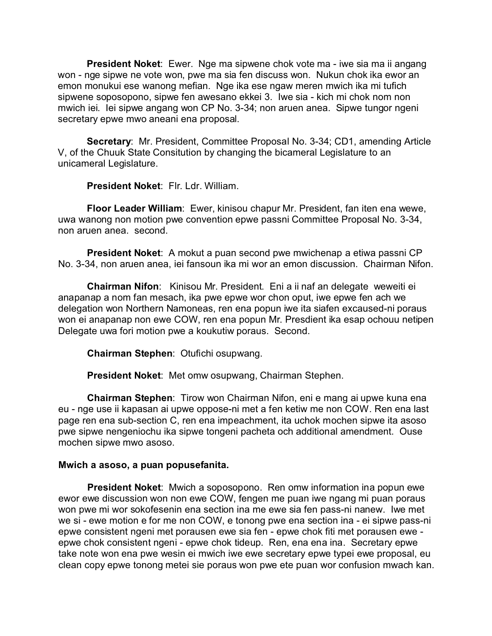**President Noket**: Ewer. Nge ma sipwene chok vote ma - iwe sia ma ii angang won - nge sipwe ne vote won, pwe ma sia fen discuss won. Nukun chok ika ewor an emon monukui ese wanong mefian. Nge ika ese ngaw meren mwich ika mi tufich sipwene soposopono, sipwe fen awesano ekkei 3. Iwe sia - kich mi chok nom non mwich iei. Iei sipwe angang won CP No. 3-34; non aruen anea. Sipwe tungor ngeni secretary epwe mwo aneani ena proposal.

**Secretary**: Mr. President, Committee Proposal No. 3-34; CD1, amending Article V, of the Chuuk State Consitution by changing the bicameral Legislature to an unicameral Legislature.

**President Noket**: Flr. Ldr. William.

**Floor Leader William**: Ewer, kinisou chapur Mr. President, fan iten ena wewe, uwa wanong non motion pwe convention epwe passni Committee Proposal No. 3-34, non aruen anea. second.

**President Noket**: A mokut a puan second pwe mwichenap a etiwa passni CP No. 3-34, non aruen anea, iei fansoun ika mi wor an emon discussion. Chairman Nifon.

**Chairman Nifon**: Kinisou Mr. President. Eni a ii naf an delegate weweiti ei anapanap a nom fan mesach, ika pwe epwe wor chon oput, iwe epwe fen ach we delegation won Northern Namoneas, ren ena popun iwe ita siafen excaused-ni poraus won ei anapanap non ewe COW, ren ena popun Mr. Presdient ika esap ochouu netipen Delegate uwa fori motion pwe a koukutiw poraus. Second.

**Chairman Stephen**: Otufichi osupwang.

**President Noket**: Met omw osupwang, Chairman Stephen.

**Chairman Stephen**: Tirow won Chairman Nifon, eni e mang ai upwe kuna ena eu - nge use ii kapasan ai upwe oppose-ni met a fen ketiw me non COW. Ren ena last page ren ena sub-section C, ren ena impeachment, ita uchok mochen sipwe ita asoso pwe sipwe nengeniochu ika sipwe tongeni pacheta och additional amendment. Ouse mochen sipwe mwo asoso.

#### **Mwich a asoso, a puan popusefanita.**

**President Noket**: Mwich a soposopono. Ren omw information ina popun ewe ewor ewe discussion won non ewe COW, fengen me puan iwe ngang mi puan poraus won pwe mi wor sokofesenin ena section ina me ewe sia fen pass-ni nanew. Iwe met we si - ewe motion e for me non COW, e tonong pwe ena section ina - ei sipwe pass-ni epwe consistent ngeni met porausen ewe sia fen - epwe chok fiti met porausen ewe epwe chok consistent ngeni - epwe chok tideup. Ren, ena ena ina. Secretary epwe take note won ena pwe wesin ei mwich iwe ewe secretary epwe typei ewe proposal, eu clean copy epwe tonong metei sie poraus won pwe ete puan wor confusion mwach kan.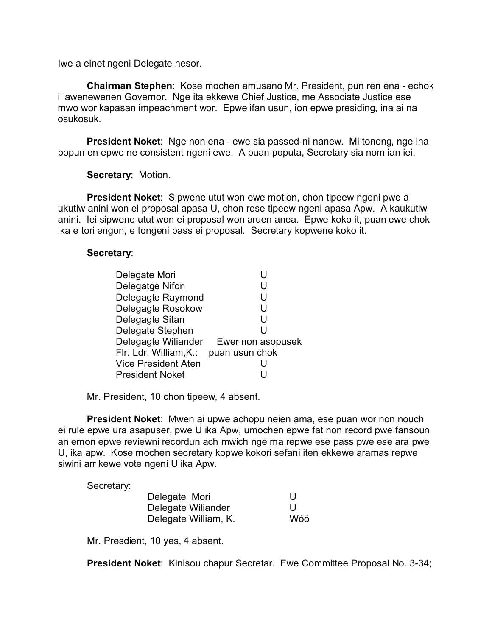Iwe a einet ngeni Delegate nesor.

**Chairman Stephen**: Kose mochen amusano Mr. President, pun ren ena - echok ii awenewenen Governor. Nge ita ekkewe Chief Justice, me Associate Justice ese mwo wor kapasan impeachment wor. Epwe ifan usun, ion epwe presiding, ina ai na osukosuk.

**President Noket**: Nge non ena - ewe sia passed-ni nanew. Mi tonong, nge ina popun en epwe ne consistent ngeni ewe. A puan poputa, Secretary sia nom ian iei.

**Secretary**: Motion.

**President Noket**: Sipwene utut won ewe motion, chon tipeew ngeni pwe a ukutiw anini won ei proposal apasa U, chon rese tipeew ngeni apasa Apw. A kaukutiw anini. Iei sipwene utut won ei proposal won aruen anea. Epwe koko it, puan ewe chok ika e tori engon, e tongeni pass ei proposal. Secretary kopwene koko it.

#### **Secretary**:

| Delegate Mori              | U                 |
|----------------------------|-------------------|
| Delegatge Nifon            | U                 |
| Delegagte Raymond          | U                 |
| Delegagte Rosokow          | U                 |
| Delegagte Sitan            | U                 |
| Delegate Stephen           | U                 |
| Delegagte Wiliander        | Ewer non asopusek |
| Flr. Ldr. William, K.:     | puan usun chok    |
| <b>Vice President Aten</b> | U                 |
| <b>President Noket</b>     |                   |

Mr. President, 10 chon tipeew, 4 absent.

**President Noket**: Mwen ai upwe achopu neien ama, ese puan wor non nouch ei rule epwe ura asapuser, pwe U ika Apw, umochen epwe fat non record pwe fansoun an emon epwe reviewni recordun ach mwich nge ma repwe ese pass pwe ese ara pwe U, ika apw. Kose mochen secretary kopwe kokori sefani iten ekkewe aramas repwe siwini arr kewe vote ngeni U ika Apw.

Secretary:

| Delegate Mori        | U   |
|----------------------|-----|
| Delegate Wiliander   | H   |
| Delegate William, K. | Wóó |

Mr. Presdient, 10 yes, 4 absent.

**President Noket**: Kinisou chapur Secretar. Ewe Committee Proposal No. 3-34;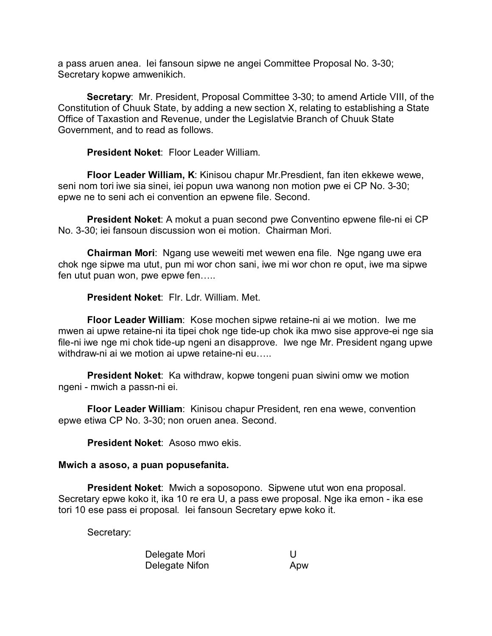a pass aruen anea. Iei fansoun sipwe ne angei Committee Proposal No. 3-30; Secretary kopwe amwenikich.

**Secretary**: Mr. President, Proposal Committee 3-30; to amend Article VIII, of the Constitution of Chuuk State, by adding a new section X, relating to establishing a State Office of Taxastion and Revenue, under the Legislatvie Branch of Chuuk State Government, and to read as follows.

**President Noket**: Floor Leader William.

**Floor Leader William, K**: Kinisou chapur Mr.Presdient, fan iten ekkewe wewe, seni nom tori iwe sia sinei, iei popun uwa wanong non motion pwe ei CP No. 3-30; epwe ne to seni ach ei convention an epwene file. Second.

**President Noket**: A mokut a puan second pwe Conventino epwene file-ni ei CP No. 3-30; iei fansoun discussion won ei motion. Chairman Mori.

**Chairman Mori**: Ngang use weweiti met wewen ena file. Nge ngang uwe era chok nge sipwe ma utut, pun mi wor chon sani, iwe mi wor chon re oput, iwe ma sipwe fen utut puan won, pwe epwe fen…..

**President Noket**: Flr. Ldr. William. Met.

**Floor Leader William**: Kose mochen sipwe retaine-ni ai we motion. Iwe me mwen ai upwe retaine-ni ita tipei chok nge tide-up chok ika mwo sise approve-ei nge sia file-ni iwe nge mi chok tide-up ngeni an disapprove. Iwe nge Mr. President ngang upwe withdraw-ni ai we motion ai upwe retaine-ni eu…..

**President Noket**: Ka withdraw, kopwe tongeni puan siwini omw we motion ngeni - mwich a passn-ni ei.

**Floor Leader William**: Kinisou chapur President, ren ena wewe, convention epwe etiwa CP No. 3-30; non oruen anea. Second.

**President Noket**: Asoso mwo ekis.

#### **Mwich a asoso, a puan popusefanita.**

**President Noket**: Mwich a soposopono. Sipwene utut won ena proposal. Secretary epwe koko it, ika 10 re era U, a pass ewe proposal. Nge ika emon - ika ese tori 10 ese pass ei proposal. Iei fansoun Secretary epwe koko it.

Secretary:

| Delegate Mori  | U   |
|----------------|-----|
| Delegate Nifon | Apw |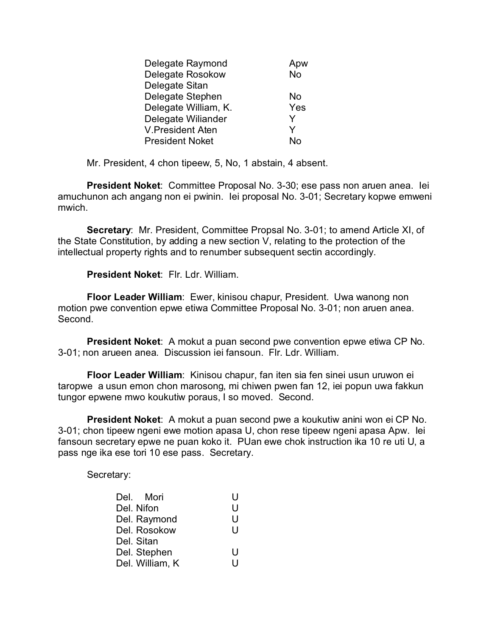| Apw<br><b>No</b> |
|------------------|
|                  |
| No               |
| Yes              |
| Y                |
| Y                |
| N٥               |
|                  |

Mr. President, 4 chon tipeew, 5, No, 1 abstain, 4 absent.

**President Noket**: Committee Proposal No. 3-30; ese pass non aruen anea. Iei amuchunon ach angang non ei pwinin. Iei proposal No. 3-01; Secretary kopwe emweni mwich.

**Secretary**: Mr. President, Committee Propsal No. 3-01; to amend Article XI, of the State Constitution, by adding a new section V, relating to the protection of the intellectual property rights and to renumber subsequent sectin accordingly.

**President Noket**: Flr. Ldr. William.

**Floor Leader William**: Ewer, kinisou chapur, President. Uwa wanong non motion pwe convention epwe etiwa Committee Proposal No. 3-01; non aruen anea. Second.

**President Noket**: A mokut a puan second pwe convention epwe etiwa CP No. 3-01; non arueen anea. Discussion iei fansoun. Flr. Ldr. William.

**Floor Leader William**: Kinisou chapur, fan iten sia fen sinei usun uruwon ei taropwe a usun emon chon marosong, mi chiwen pwen fan 12, iei popun uwa fakkun tungor epwene mwo koukutiw poraus, I so moved. Second.

**President Noket**: A mokut a puan second pwe a koukutiw anini won ei CP No. 3-01; chon tipeew ngeni ewe motion apasa U, chon rese tipeew ngeni apasa Apw. Iei fansoun secretary epwe ne puan koko it. PUan ewe chok instruction ika 10 re uti U, a pass nge ika ese tori 10 ese pass. Secretary.

Secretary:

| U                                                                                                        |
|----------------------------------------------------------------------------------------------------------|
| U                                                                                                        |
| U                                                                                                        |
| U                                                                                                        |
|                                                                                                          |
| U                                                                                                        |
|                                                                                                          |
| Del. Mori<br>Del. Nifon<br>Del. Raymond<br>Del. Rosokow<br>Del. Sitan<br>Del. Stephen<br>Del. William, K |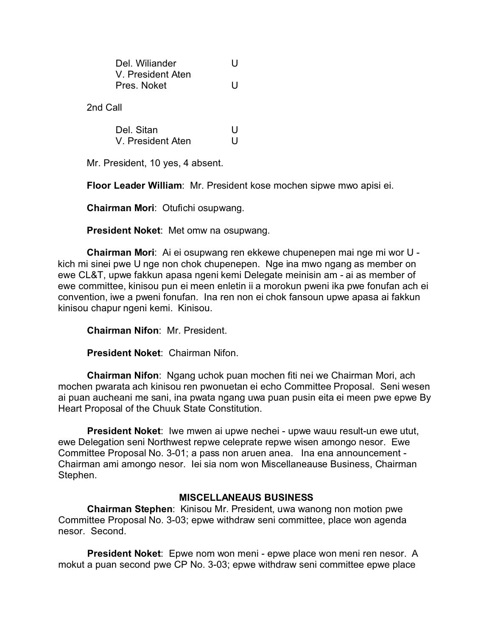| Del. Wiliander    |   |
|-------------------|---|
| V. President Aten |   |
| Pres. Noket       | Ħ |

2nd Call

| Del. Sitan        |  |
|-------------------|--|
| V. President Aten |  |

Mr. President, 10 yes, 4 absent.

**Floor Leader William**: Mr. President kose mochen sipwe mwo apisi ei.

**Chairman Mori**: Otufichi osupwang.

**President Noket**: Met omw na osupwang.

**Chairman Mori**: Ai ei osupwang ren ekkewe chupenepen mai nge mi wor U kich mi sinei pwe U nge non chok chupenepen. Nge ina mwo ngang as member on ewe CL&T, upwe fakkun apasa ngeni kemi Delegate meinisin am - ai as member of ewe committee, kinisou pun ei meen enletin ii a morokun pweni ika pwe fonufan ach ei convention, iwe a pweni fonufan. Ina ren non ei chok fansoun upwe apasa ai fakkun kinisou chapur ngeni kemi. Kinisou.

**Chairman Nifon**: Mr. President.

**President Noket**: Chairman Nifon.

**Chairman Nifon**: Ngang uchok puan mochen fiti nei we Chairman Mori, ach mochen pwarata ach kinisou ren pwonuetan ei echo Committee Proposal. Seni wesen ai puan aucheani me sani, ina pwata ngang uwa puan pusin eita ei meen pwe epwe By Heart Proposal of the Chuuk State Constitution.

**President Noket**: Iwe mwen ai upwe nechei - upwe wauu result-un ewe utut, ewe Delegation seni Northwest repwe celeprate repwe wisen amongo nesor. Ewe Committee Proposal No. 3-01; a pass non aruen anea. Ina ena announcement - Chairman ami amongo nesor. Iei sia nom won Miscellaneause Business, Chairman Stephen.

# **MISCELLANEAUS BUSINESS**

**Chairman Stephen**: Kinisou Mr. President, uwa wanong non motion pwe Committee Proposal No. 3-03; epwe withdraw seni committee, place won agenda nesor. Second.

**President Noket**: Epwe nom won meni - epwe place won meni ren nesor. A mokut a puan second pwe CP No. 3-03; epwe withdraw seni committee epwe place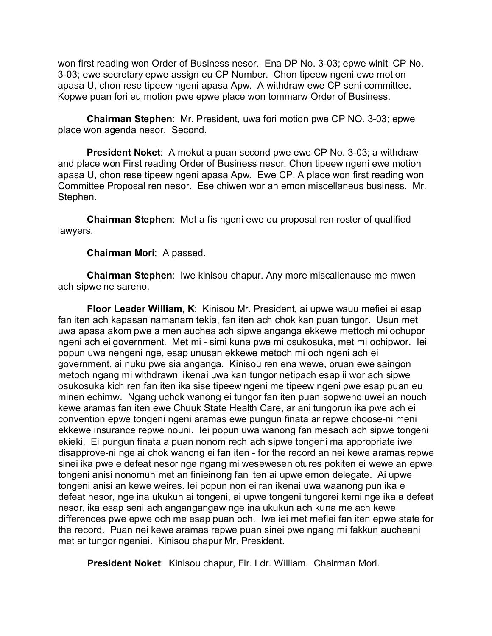won first reading won Order of Business nesor. Ena DP No. 3-03; epwe winiti CP No. 3-03; ewe secretary epwe assign eu CP Number. Chon tipeew ngeni ewe motion apasa U, chon rese tipeew ngeni apasa Apw. A withdraw ewe CP seni committee. Kopwe puan fori eu motion pwe epwe place won tommarw Order of Business.

**Chairman Stephen**: Mr. President, uwa fori motion pwe CP NO. 3-03; epwe place won agenda nesor. Second.

**President Noket**: A mokut a puan second pwe ewe CP No. 3-03; a withdraw and place won First reading Order of Business nesor. Chon tipeew ngeni ewe motion apasa U, chon rese tipeew ngeni apasa Apw. Ewe CP. A place won first reading won Committee Proposal ren nesor. Ese chiwen wor an emon miscellaneus business. Mr. Stephen.

**Chairman Stephen**: Met a fis ngeni ewe eu proposal ren roster of qualified lawyers.

**Chairman Mori**: A passed.

**Chairman Stephen**: Iwe kinisou chapur. Any more miscallenause me mwen ach sipwe ne sareno.

**Floor Leader William, K**: Kinisou Mr. President, ai upwe wauu mefiei ei esap fan iten ach kapasan namanam tekia, fan iten ach chok kan puan tungor. Usun met uwa apasa akom pwe a men auchea ach sipwe anganga ekkewe mettoch mi ochupor ngeni ach ei government. Met mi - simi kuna pwe mi osukosuka, met mi ochipwor. Iei popun uwa nengeni nge, esap unusan ekkewe metoch mi och ngeni ach ei government, ai nuku pwe sia anganga. Kinisou ren ena wewe, oruan ewe saingon metoch ngang mi withdrawni ikenai uwa kan tungor netipach esap ii wor ach sipwe osukosuka kich ren fan iten ika sise tipeew ngeni me tipeew ngeni pwe esap puan eu minen echimw. Ngang uchok wanong ei tungor fan iten puan sopweno uwei an nouch kewe aramas fan iten ewe Chuuk State Health Care, ar ani tungorun ika pwe ach ei convention epwe tongeni ngeni aramas ewe pungun finata ar repwe choose-ni meni ekkewe insurance repwe nouni. Iei popun uwa wanong fan mesach ach sipwe tongeni ekieki. Ei pungun finata a puan nonom rech ach sipwe tongeni ma appropriate iwe disapprove-ni nge ai chok wanong ei fan iten - for the record an nei kewe aramas repwe sinei ika pwe e defeat nesor nge ngang mi wesewesen otures pokiten ei wewe an epwe tongeni anisi nonomun met an finieinong fan iten ai upwe emon delegate. Ai upwe tongeni anisi an kewe weires. Iei popun non ei ran ikenai uwa waanong pun ika e defeat nesor, nge ina ukukun ai tongeni, ai upwe tongeni tungorei kemi nge ika a defeat nesor, ika esap seni ach angangangaw nge ina ukukun ach kuna me ach kewe differences pwe epwe och me esap puan och. Iwe iei met mefiei fan iten epwe state for the record. Puan nei kewe aramas repwe puan sinei pwe ngang mi fakkun aucheani met ar tungor ngeniei. Kinisou chapur Mr. President.

**President Noket**: Kinisou chapur, Flr. Ldr. William. Chairman Mori.